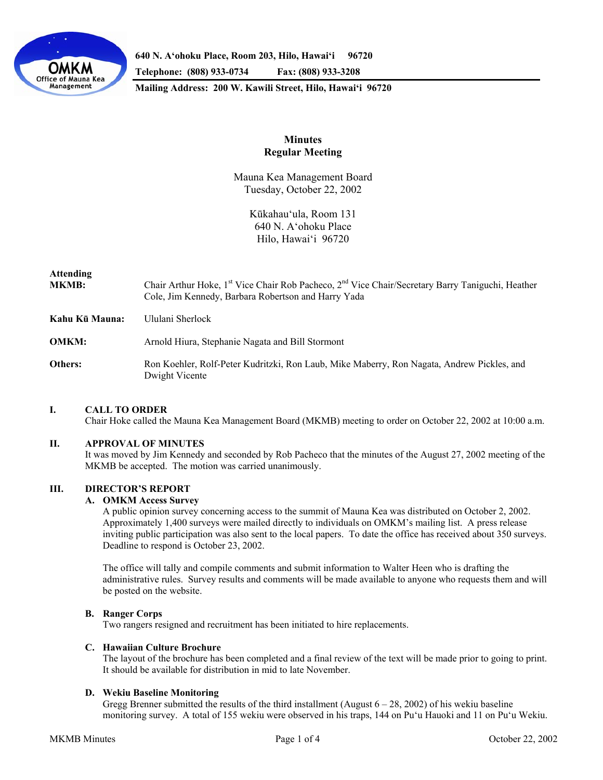

**640 N. A'ohoku Place, Room 203, Hilo, Hawai'i 96720** 

**Telephone: (808) 933-0734 Fax: (808) 933-3208** 

**Mailing Address: 200 W. Kawili Street, Hilo, Hawai'i 96720** 

# **Minutes Regular Meeting**

Mauna Kea Management Board Tuesday, October 22, 2002

> Kūkahau'ula, Room 131 640 N. A'ohoku Place Hilo, Hawai'i 96720

## **Attending**

- **MKMB:** Chair Arthur Hoke, 1<sup>st</sup> Vice Chair Rob Pacheco, 2<sup>nd</sup> Vice Chair/Secretary Barry Taniguchi, Heather Cole, Jim Kennedy, Barbara Robertson and Harry Yada
- **Kahu Kū Mauna:** Ululani Sherlock
- **OMKM:** Arnold Hiura, Stephanie Nagata and Bill Stormont
- **Others:** Ron Koehler, Rolf-Peter Kudritzki, Ron Laub, Mike Maberry, Ron Nagata, Andrew Pickles, and Dwight Vicente

## **I. CALL TO ORDER**

Chair Hoke called the Mauna Kea Management Board (MKMB) meeting to order on October 22, 2002 at 10:00 a.m.

## **II. APPROVAL OF MINUTES**

 It was moved by Jim Kennedy and seconded by Rob Pacheco that the minutes of the August 27, 2002 meeting of the MKMB be accepted. The motion was carried unanimously.

# **III. DIRECTOR'S REPORT**

## **A. OMKM Access Survey**

 A public opinion survey concerning access to the summit of Mauna Kea was distributed on October 2, 2002. Approximately 1,400 surveys were mailed directly to individuals on OMKM's mailing list. A press release inviting public participation was also sent to the local papers. To date the office has received about 350 surveys. Deadline to respond is October 23, 2002.

 The office will tally and compile comments and submit information to Walter Heen who is drafting the administrative rules. Survey results and comments will be made available to anyone who requests them and will be posted on the website.

#### **B. Ranger Corps**

Two rangers resigned and recruitment has been initiated to hire replacements.

#### **C. Hawaiian Culture Brochure**

The layout of the brochure has been completed and a final review of the text will be made prior to going to print. It should be available for distribution in mid to late November.

### **D. Wekiu Baseline Monitoring**

Gregg Brenner submitted the results of the third installment (August  $6 - 28$ , 2002) of his wekiu baseline monitoring survey. A total of 155 wekiu were observed in his traps, 144 on Pu'u Hauoki and 11 on Pu'u Wekiu.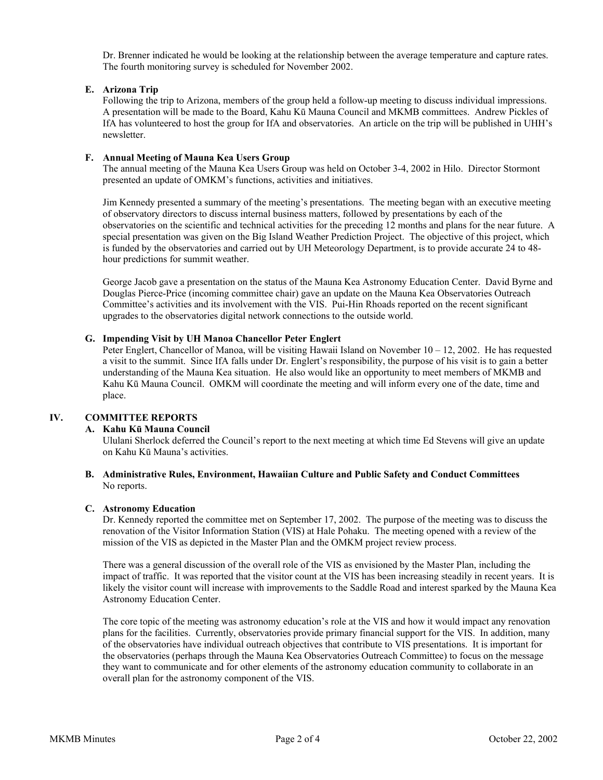Dr. Brenner indicated he would be looking at the relationship between the average temperature and capture rates. The fourth monitoring survey is scheduled for November 2002.

## **E. Arizona Trip**

 Following the trip to Arizona, members of the group held a follow-up meeting to discuss individual impressions. A presentation will be made to the Board, Kahu Kū Mauna Council and MKMB committees. Andrew Pickles of IfA has volunteered to host the group for IfA and observatories. An article on the trip will be published in UHH's newsletter.

### **F. Annual Meeting of Mauna Kea Users Group**

 The annual meeting of the Mauna Kea Users Group was held on October 3-4, 2002 in Hilo. Director Stormont presented an update of OMKM's functions, activities and initiatives.

 Jim Kennedy presented a summary of the meeting's presentations. The meeting began with an executive meeting of observatory directors to discuss internal business matters, followed by presentations by each of the observatories on the scientific and technical activities for the preceding 12 months and plans for the near future. A special presentation was given on the Big Island Weather Prediction Project. The objective of this project, which is funded by the observatories and carried out by UH Meteorology Department, is to provide accurate 24 to 48 hour predictions for summit weather.

 George Jacob gave a presentation on the status of the Mauna Kea Astronomy Education Center. David Byrne and Douglas Pierce-Price (incoming committee chair) gave an update on the Mauna Kea Observatories Outreach Committee's activities and its involvement with the VIS. Pui-Hin Rhoads reported on the recent significant upgrades to the observatories digital network connections to the outside world.

### **G. Impending Visit by UH Manoa Chancellor Peter Englert**

 Peter Englert, Chancellor of Manoa, will be visiting Hawaii Island on November 10 – 12, 2002. He has requested a visit to the summit. Since IfA falls under Dr. Englert's responsibility, the purpose of his visit is to gain a better understanding of the Mauna Kea situation. He also would like an opportunity to meet members of MKMB and Kahu Kū Mauna Council. OMKM will coordinate the meeting and will inform every one of the date, time and place.

## **IV. COMMITTEE REPORTS**

#### **A. Kahu Kū Mauna Council**

Ululani Sherlock deferred the Council's report to the next meeting at which time Ed Stevens will give an update on Kahu Kū Mauna's activities.

### **B. Administrative Rules, Environment, Hawaiian Culture and Public Safety and Conduct Committees**  No reports.

#### **C. Astronomy Education**

 Dr. Kennedy reported the committee met on September 17, 2002. The purpose of the meeting was to discuss the renovation of the Visitor Information Station (VIS) at Hale Pohaku. The meeting opened with a review of the mission of the VIS as depicted in the Master Plan and the OMKM project review process.

 There was a general discussion of the overall role of the VIS as envisioned by the Master Plan, including the impact of traffic. It was reported that the visitor count at the VIS has been increasing steadily in recent years. It is likely the visitor count will increase with improvements to the Saddle Road and interest sparked by the Mauna Kea Astronomy Education Center.

 The core topic of the meeting was astronomy education's role at the VIS and how it would impact any renovation plans for the facilities. Currently, observatories provide primary financial support for the VIS. In addition, many of the observatories have individual outreach objectives that contribute to VIS presentations. It is important for the observatories (perhaps through the Mauna Kea Observatories Outreach Committee) to focus on the message they want to communicate and for other elements of the astronomy education community to collaborate in an overall plan for the astronomy component of the VIS.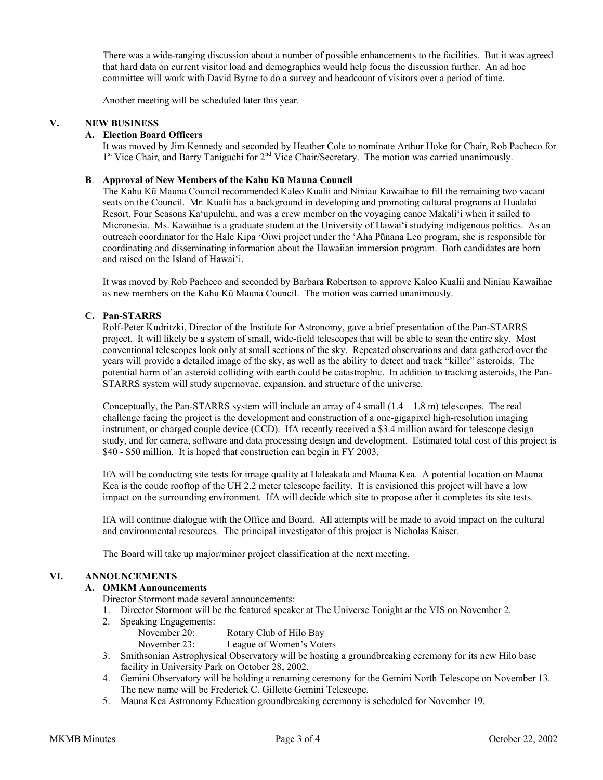There was a wide-ranging discussion about a number of possible enhancements to the facilities. But it was agreed that hard data on current visitor load and demographics would help focus the discussion further. An ad hoc committee will work with David Byrne to do a survey and headcount of visitors over a period of time.

Another meeting will be scheduled later this year.

### **V. NEW BUSINESS**

### **A. Election Board Officers**

 It was moved by Jim Kennedy and seconded by Heather Cole to nominate Arthur Hoke for Chair, Rob Pacheco for 1<sup>st</sup> Vice Chair, and Barry Taniguchi for 2<sup>nd</sup> Vice Chair/Secretary. The motion was carried unanimously.

## **B**. **Approval of New Members of the Kahu Kū Mauna Council**

 The Kahu Kū Mauna Council recommended Kaleo Kualii and Niniau Kawaihae to fill the remaining two vacant seats on the Council. Mr. Kualii has a background in developing and promoting cultural programs at Hualalai Resort, Four Seasons Ka'upulehu, and was a crew member on the voyaging canoe Makali'i when it sailed to Micronesia. Ms. Kawaihae is a graduate student at the University of Hawai'i studying indigenous politics. As an outreach coordinator for the Hale Kipa 'Oiwi project under the 'Aha Pūnana Leo program, she is responsible for coordinating and disseminating information about the Hawaiian immersion program. Both candidates are born and raised on the Island of Hawai'i.

 It was moved by Rob Pacheco and seconded by Barbara Robertson to approve Kaleo Kualii and Niniau Kawaihae as new members on the Kahu Kū Mauna Council. The motion was carried unanimously.

### **C. Pan-STARRS**

 Rolf-Peter Kudritzki, Director of the Institute for Astronomy, gave a brief presentation of the Pan-STARRS project. It will likely be a system of small, wide-field telescopes that will be able to scan the entire sky. Most conventional telescopes look only at small sections of the sky. Repeated observations and data gathered over the years will provide a detailed image of the sky, as well as the ability to detect and track "killer" asteroids. The potential harm of an asteroid colliding with earth could be catastrophic. In addition to tracking asteroids, the Pan-STARRS system will study supernovae, expansion, and structure of the universe.

 Conceptually, the Pan-STARRS system will include an array of 4 small (1.4 – 1.8 m) telescopes. The real challenge facing the project is the development and construction of a one-gigapixel high-resolution imaging instrument, or charged couple device (CCD). IfA recently received a \$3.4 million award for telescope design study, and for camera, software and data processing design and development. Estimated total cost of this project is \$40 - \$50 million. It is hoped that construction can begin in FY 2003.

 IfA will be conducting site tests for image quality at Haleakala and Mauna Kea. A potential location on Mauna Kea is the coude rooftop of the UH 2.2 meter telescope facility. It is envisioned this project will have a low impact on the surrounding environment. IfA will decide which site to propose after it completes its site tests.

 IfA will continue dialogue with the Office and Board. All attempts will be made to avoid impact on the cultural and environmental resources. The principal investigator of this project is Nicholas Kaiser.

The Board will take up major/minor project classification at the next meeting.

## **VI. ANNOUNCEMENTS**

### **A. OMKM Announcements**

Director Stormont made several announcements:

- 1. Director Stormont will be the featured speaker at The Universe Tonight at the VIS on November 2.
- 2. Speaking Engagements:
	- November 20: Rotary Club of Hilo Bay
	- November 23: League of Women's Voters
- 3. Smithsonian Astrophysical Observatory will be hosting a groundbreaking ceremony for its new Hilo base facility in University Park on October 28, 2002.
- 4. Gemini Observatory will be holding a renaming ceremony for the Gemini North Telescope on November 13. The new name will be Frederick C. Gillette Gemini Telescope.
- 5. Mauna Kea Astronomy Education groundbreaking ceremony is scheduled for November 19.